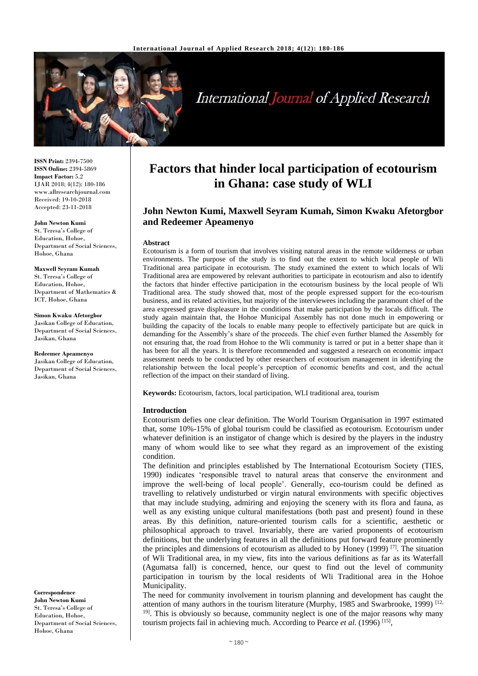

# **International Journal of Applied Research**

**ISSN Print:** 2394-7500 **ISSN Online:** 2394-5869 **Impact Factor:** 5.2 IJAR 2018; 4(12): 180-186 www.allresearchjournal.com Received: 19-10-2018 Accepted: 23-11-2018

#### **John Newton Kumi**

St. Teresa's College of Education, Hohoe, Department of Social Sciences, Hohoe, Ghana

**Maxwell Seyram Kumah** St. Teresa's College of Education, Hohoe, Department of Mathematics & ICT, Hohoe, Ghana

**Simon Kwaku Afetorgbor** Jasikan College of Education, Department of Social Sciences, Jasikan, Ghana

**Redeemer Apeamenyo** Jasikan College of Education, Department of Social Sciences, Jasikan, Ghana

**Correspondence John Newton Kumi** St. Teresa's College of Education, Hohoe, Department of Social Sciences, Hohoe, Ghana

# **Factors that hinder local participation of ecotourism in Ghana: case study of WLI**

# **John Newton Kumi, Maxwell Seyram Kumah, Simon Kwaku Afetorgbor and Redeemer Apeamenyo**

#### **Abstract**

Ecotourism is a form of tourism that involves visiting natural areas in the remote wilderness or urban environments. The purpose of the study is to find out the extent to which local people of Wli Traditional area participate in ecotourism. The study examined the extent to which locals of Wli Traditional area are empowered by relevant authorities to participate in ecotourism and also to identify the factors that hinder effective participation in the ecotourism business by the local people of Wli Traditional area. The study showed that, most of the people expressed support for the eco-tourism business, and its related activities, but majority of the interviewees including the paramount chief of the area expressed grave displeasure in the conditions that make participation by the locals difficult. The study again maintain that, the Hohoe Municipal Assembly has not done much in empowering or building the capacity of the locals to enable many people to effectively participate but are quick in demanding for the Assembly's share of the proceeds. The chief even further blamed the Assembly for not ensuring that, the road from Hohoe to the Wli community is tarred or put in a better shape than it has been for all the years. It is therefore recommended and suggested a research on economic impact assessment needs to be conducted by other researchers of ecotourism management in identifying the relationship between the local people's perception of economic benefits and cost, and the actual reflection of the impact on their standard of living.

**Keywords:** Ecotourism, factors, local participation, WLI traditional area, tourism

#### **Introduction**

Ecotourism defies one clear definition. The World Tourism Organisation in 1997 estimated that, some 10%-15% of global tourism could be classified as ecotourism. Ecotourism under whatever definition is an instigator of change which is desired by the players in the industry many of whom would like to see what they regard as an improvement of the existing condition.

The definition and principles established by The International Ecotourism Society (TIES, 1990) indicates 'responsible travel to natural areas that conserve the environment and improve the well-being of local people'. Generally, eco-tourism could be defined as travelling to relatively undisturbed or virgin natural environments with specific objectives that may include studying, admiring and enjoying the scenery with its flora and fauna, as well as any existing unique cultural manifestations (both past and present) found in these areas. By this definition, nature-oriented tourism calls for a scientific, aesthetic or philosophical approach to travel. Invariably, there are varied proponents of ecotourism definitions, but the underlying features in all the definitions put forward feature prominently the principles and dimensions of ecotourism as alluded to by Honey (1999)<sup>[7]</sup>. The situation of Wli Traditional area, in my view, fits into the various definitions as far as its Waterfall (Agumatsa fall) is concerned, hence, our quest to find out the level of community participation in tourism by the local residents of Wli Traditional area in the Hohoe Municipality.

The need for community involvement in tourism planning and development has caught the attention of many authors in the tourism literature (Murphy, 1985 and Swarbrooke, 1999)<sup>[12,]</sup> <sup>19]</sup>. This is obviously so because, community neglect is one of the major reasons why many tourism projects fail in achieving much. According to Pearce et al. (1996)<sup>[15]</sup>,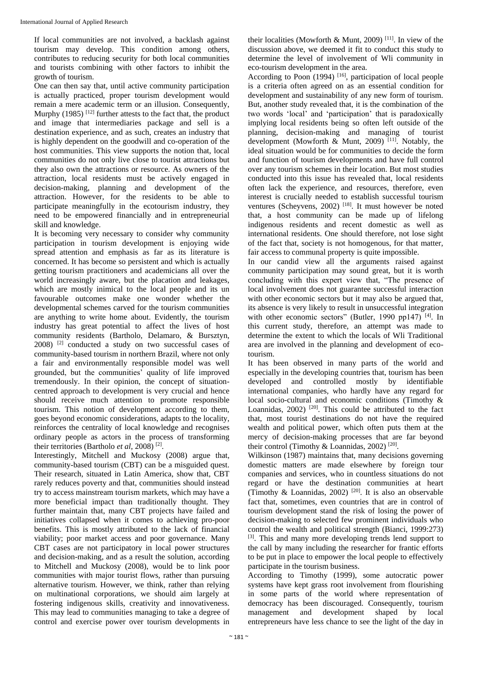If local communities are not involved, a backlash against tourism may develop. This condition among others, contributes to reducing security for both local communities and tourists combining with other factors to inhibit the growth of tourism.

One can then say that, until active community participation is actually practiced, proper tourism development would remain a mere academic term or an illusion. Consequently, Murphy (1985)<sup>[12]</sup> further attests to the fact that, the product and image that intermediaries package and sell is a destination experience, and as such, creates an industry that is highly dependent on the goodwill and co-operation of the host communities. This view supports the notion that, local communities do not only live close to tourist attractions but they also own the attractions or resource. As owners of the attraction, local residents must be actively engaged in decision-making, planning and development of the attraction. However, for the residents to be able to participate meaningfully in the ecotourism industry, they need to be empowered financially and in entrepreneurial skill and knowledge.

It is becoming very necessary to consider why community participation in tourism development is enjoying wide spread attention and emphasis as far as its literature is concerned. It has become so persistent and which is actually getting tourism practitioners and academicians all over the world increasingly aware, but the placation and leakages, which are mostly inimical to the local people and its un favourable outcomes make one wonder whether the developmental schemes carved for the tourism communities are anything to write home about. Evidently, the tourism industry has great potential to affect the lives of host community residents (Bartholo, Delamaro, & Bursztyn, 2008)<sup>[2]</sup> conducted a study on two successful cases of community-based tourism in northern Brazil, where not only a fair and environmentally responsible model was well grounded, but the communities' quality of life improved tremendously. In their opinion, the concept of situationcentred approach to development is very crucial and hence should receive much attention to promote responsible tourism. This notion of development according to them, goes beyond economic considerations, adapts to the locality, reinforces the centrality of local knowledge and recognises ordinary people as actors in the process of transforming their territories (Bartholo *et al*, 2008) [2] .

Interestingly, Mitchell and Muckosy (2008) argue that, community-based tourism (CBT) can be a misguided quest. Their research, situated in Latin America, show that, CBT rarely reduces poverty and that, communities should instead try to access mainstream tourism markets, which may have a more beneficial impact than traditionally thought. They further maintain that, many CBT projects have failed and initiatives collapsed when it comes to achieving pro-poor benefits. This is mostly attributed to the lack of financial viability; poor market access and poor governance. Many CBT cases are not participatory in local power structures and decision-making, and as a result the solution, according to Mitchell and Muckosy (2008), would be to link poor communities with major tourist flows, rather than pursuing alternative tourism. However, we think, rather than relying on multinational corporations, we should aim largely at fostering indigenous skills, creativity and innovativeness. This may lead to communities managing to take a degree of control and exercise power over tourism developments in

their localities (Mowforth & Munt, 2009)<sup>[11]</sup>. In view of the discussion above, we deemed it fit to conduct this study to determine the level of involvement of Wli community in eco-tourism development in the area.

According to Poon (1994)<sup>[16]</sup>, participation of local people is a criteria often agreed on as an essential condition for development and sustainability of any new form of tourism. But, another study revealed that, it is the combination of the two words 'local' and 'participation' that is paradoxically implying local residents being so often left outside of the planning, decision-making and managing of tourist development (Mowforth & Munt, 2009)<sup>[11]</sup>. Notably, the ideal situation would be for communities to decide the form and function of tourism developments and have full control over any tourism schemes in their location. But most studies conducted into this issue has revealed that, local residents often lack the experience, and resources, therefore, even interest is crucially needed to establish successful tourism ventures (Scheyvens, 2002)<sup>[18]</sup>. It must however be noted that, a host community can be made up of lifelong indigenous residents and recent domestic as well as international residents. One should therefore, not lose sight of the fact that, society is not homogenous, for that matter, fair access to communal property is quite impossible.

In our candid view all the arguments raised against community participation may sound great, but it is worth concluding with this expert view that, "The presence of local involvement does not guarantee successful interaction with other economic sectors but it may also be argued that, its absence is very likely to result in unsuccessful integration with other economic sectors" (Butler, 1990 pp147)<sup>[4]</sup>. In this current study, therefore, an attempt was made to determine the extent to which the locals of Wli Traditional area are involved in the planning and development of ecotourism.

It has been observed in many parts of the world and especially in the developing countries that, tourism has been developed and controlled mostly by identifiable international companies, who hardly have any regard for local socio-cultural and economic conditions (Timothy & Loannidas,  $2002$ )<sup>[20]</sup>. This could be attributed to the fact that, most tourist destinations do not have the required wealth and political power, which often puts them at the mercy of decision-making processes that are far beyond their control (Timothy & Loannidas, 2002)<sup>[20]</sup>.

Wilkinson (1987) maintains that, many decisions governing domestic matters are made elsewhere by foreign tour companies and services, who in countless situations do not regard or have the destination communities at heart (Timothy & Loannidas, 2002)<sup>[20]</sup>. It is also an observable fact that, sometimes, even countries that are in control of tourism development stand the risk of losing the power of decision-making to selected few prominent individuals who control the wealth and political strength (Bianci, 1999:273) [3]. This and many more developing trends lend support to the call by many including the researcher for frantic efforts to be put in place to empower the local people to effectively participate in the tourism business.

According to Timothy (1999), some autocratic power systems have kept grass root involvement from flourishing in some parts of the world where representation of democracy has been discouraged. Consequently, tourism management and development shaped by local entrepreneurs have less chance to see the light of the day in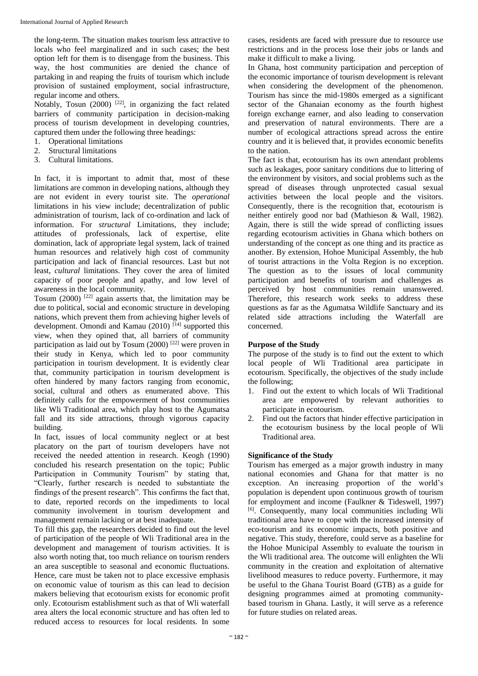the long-term. The situation makes tourism less attractive to locals who feel marginalized and in such cases; the best option left for them is to disengage from the business. This way, the host communities are denied the chance of partaking in and reaping the fruits of tourism which include provision of sustained employment, social infrastructure, regular income and others.

Notably, Tosun (2000)<sup>[22]</sup>, in organizing the fact related barriers of community participation in decision-making process of tourism development in developing countries, captured them under the following three headings:

- 1. Operational limitations
- 2. Structural limitations
- 3. Cultural limitations.

In fact, it is important to admit that, most of these limitations are common in developing nations, although they are not evident in every tourist site. The *operational*  limitations in his view include; decentralization of public administration of tourism, lack of co-ordination and lack of information. For *structural* Limitations, they include; attitudes of professionals, lack of expertise, elite domination, lack of appropriate legal system, lack of trained human resources and relatively high cost of community participation and lack of financial resources. Last but not least, *cultural* limitations. They cover the area of limited capacity of poor people and apathy, and low level of awareness in the local community.

Tosum  $(2000)$ <sup>[22]</sup> again asserts that, the limitation may be due to political, social and economic structure in developing nations, which prevent them from achieving higher levels of development. Omondi and Kamau  $(2010)$ <sup>[14]</sup> supported this view, when they opined that, all barriers of community participation as laid out by Tosum  $(2000)$ <sup>[22]</sup> were proven in their study in Kenya, which led to poor community participation in tourism development. It is evidently clear that, community participation in tourism development is often hindered by many factors ranging from economic, social, cultural and others as enumerated above. This definitely calls for the empowerment of host communities like Wli Traditional area, which play host to the Agumatsa fall and its side attractions, through vigorous capacity building.

In fact, issues of local community neglect or at best placatory on the part of tourism developers have not received the needed attention in research. Keogh (1990) concluded his research presentation on the topic; Public Participation in Community Tourism" by stating that, "Clearly, further research is needed to substantiate the findings of the present research". This confirms the fact that, to date, reported records on the impediments to local community involvement in tourism development and management remain lacking or at best inadequate.

To fill this gap, the researchers decided to find out the level of participation of the people of Wli Traditional area in the development and management of tourism activities. It is also worth noting that, too much reliance on tourism renders an area susceptible to seasonal and economic fluctuations. Hence, care must be taken not to place excessive emphasis on economic value of tourism as this can lead to decision makers believing that ecotourism exists for economic profit only. Ecotourism establishment such as that of Wli waterfall area alters the local economic structure and has often led to reduced access to resources for local residents. In some

cases, residents are faced with pressure due to resource use restrictions and in the process lose their jobs or lands and make it difficult to make a living.

In Ghana, host community participation and perception of the economic importance of tourism development is relevant when considering the development of the phenomenon. Tourism has since the mid-1980s emerged as a significant sector of the Ghanaian economy as the fourth highest foreign exchange earner, and also leading to conservation and preservation of natural environments. There are a number of ecological attractions spread across the entire country and it is believed that, it provides economic benefits to the nation.

The fact is that, ecotourism has its own attendant problems such as leakages, poor sanitary conditions due to littering of the environment by visitors, and social problems such as the spread of diseases through unprotected casual sexual activities between the local people and the visitors. Consequently, there is the recognition that, ecotourism is neither entirely good nor bad (Mathieson & Wall, 1982). Again, there is still the wide spread of conflicting issues regarding ecotourism activities in Ghana which bothers on understanding of the concept as one thing and its practice as another. By extension, Hohoe Municipal Assembly, the hub of tourist attractions in the Volta Region is no exception. The question as to the issues of local community participation and benefits of tourism and challenges as perceived by host communities remain unanswered. Therefore, this research work seeks to address these questions as far as the Agumatsa Wildlife Sanctuary and its related side attractions including the Waterfall are concerned.

# **Purpose of the Study**

The purpose of the study is to find out the extent to which local people of Wli Traditional area participate in ecotourism. Specifically, the objectives of the study include the following;

- 1. Find out the extent to which locals of Wli Traditional area are empowered by relevant authorities to participate in ecotourism.
- 2. Find out the factors that hinder effective participation in the ecotourism business by the local people of Wli Traditional area.

# **Significance of the Study**

Tourism has emerged as a major growth industry in many national economies and Ghana for that matter is no exception. An increasing proportion of the world's population is dependent upon continuous growth of tourism for employment and income (Faulkner & Tideswell, 1997) [6] . Consequently, many local communities including Wli traditional area have to cope with the increased intensity of eco-tourism and its economic impacts, both positive and negative. This study, therefore, could serve as a baseline for the Hohoe Municipal Assembly to evaluate the tourism in the Wli traditional area. The outcome will enlighten the Wli community in the creation and exploitation of alternative livelihood measures to reduce poverty. Furthermore, it may be useful to the Ghana Tourist Board (GTB) as a guide for designing programmes aimed at promoting communitybased tourism in Ghana. Lastly, it will serve as a reference for future studies on related areas.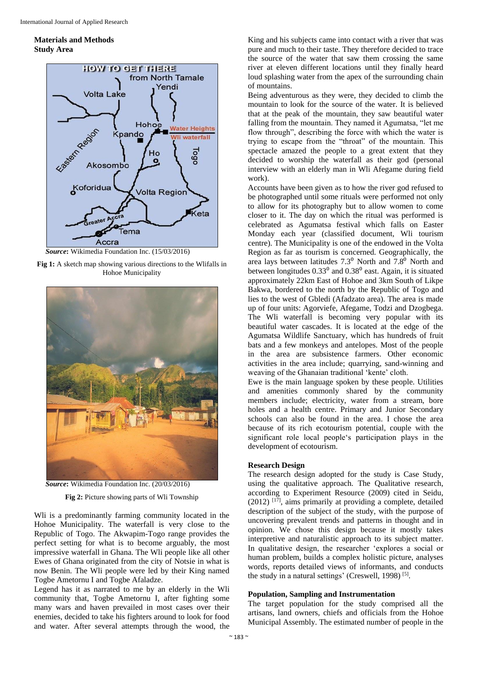### **Materials and Methods Study Area**



*Source***:** Wikimedia Foundation Inc. (15/03/2016)

**Fig 1:** A sketch map showing various directions to the Wlifalls in Hohoe Municipality





**Fig 2:** Picture showing parts of Wli Township

Wli is a predominantly farming community located in the Hohoe Municipality. The waterfall is very close to the Republic of Togo. The Akwapim-Togo range provides the perfect setting for what is to become arguably, the most impressive waterfall in Ghana. The Wli people like all other Ewes of Ghana originated from the city of Notsie in what is now Benin. The Wli people were led by their King named Togbe Ametornu I and Togbe Afaladze.

Legend has it as narrated to me by an elderly in the Wli community that, Togbe Ametornu I, after fighting some many wars and haven prevailed in most cases over their enemies, decided to take his fighters around to look for food and water. After several attempts through the wood, the

King and his subjects came into contact with a river that was pure and much to their taste. They therefore decided to trace the source of the water that saw them crossing the same river at eleven different locations until they finally heard loud splashing water from the apex of the surrounding chain of mountains.

Being adventurous as they were, they decided to climb the mountain to look for the source of the water. It is believed that at the peak of the mountain, they saw beautiful water falling from the mountain. They named it Agumatsa, "let me flow through", describing the force with which the water is trying to escape from the "throat" of the mountain. This spectacle amazed the people to a great extent that they decided to worship the waterfall as their god (personal interview with an elderly man in Wli Afegame during field work).

Accounts have been given as to how the river god refused to be photographed until some rituals were performed not only to allow for its photography but to allow women to come closer to it. The day on which the ritual was performed is celebrated as Agumatsa festival which falls on Easter Monday each year (classified document, Wli tourism centre). The Municipality is one of the endowed in the Volta Region as far as tourism is concerned. Geographically, the area lays between latitudes  $7.3^{\circ}$  North and  $7.8^{\circ}$  North and between longitudes  $0.33<sup>0</sup>$  and  $0.38<sup>0</sup>$  east. Again, it is situated approximately 22km East of Hohoe and 3km South of Likpe Bakwa, bordered to the north by the Republic of Togo and lies to the west of Gbledi (Afadzato area). The area is made up of four units: Agorviefe, Afegame, Todzi and Dzogbega. The Wli waterfall is becoming very popular with its beautiful water cascades. It is located at the edge of the Agumatsa Wildlife Sanctuary, which has hundreds of fruit bats and a few monkeys and antelopes. Most of the people in the area are subsistence farmers. Other economic activities in the area include; quarrying, sand-winning and weaving of the Ghanaian traditional 'kente' cloth.

Ewe is the main language spoken by these people. Utilities and amenities commonly shared by the community members include; electricity, water from a stream, bore holes and a health centre. Primary and Junior Secondary schools can also be found in the area. I chose the area because of its rich ecotourism potential, couple with the significant role local people's participation plays in the development of ecotourism.

#### **Research Design**

The research design adopted for the study is Case Study, using the qualitative approach. The Qualitative research, according to Experiment Resource (2009) cited in Seidu,  $(2012)$ <sup>[17]</sup>, aims primarily at providing a complete, detailed description of the subject of the study, with the purpose of uncovering prevalent trends and patterns in thought and in opinion. We chose this design because it mostly takes interpretive and naturalistic approach to its subject matter. In qualitative design, the researcher 'explores a social or human problem, builds a complex holistic picture, analyses words, reports detailed views of informants, and conducts the study in a natural settings' (Creswell, 1998)<sup>[5]</sup>.

#### **Population, Sampling and Instrumentation**

The target population for the study comprised all the artisans, land owners, chiefs and officials from the Hohoe Municipal Assembly. The estimated number of people in the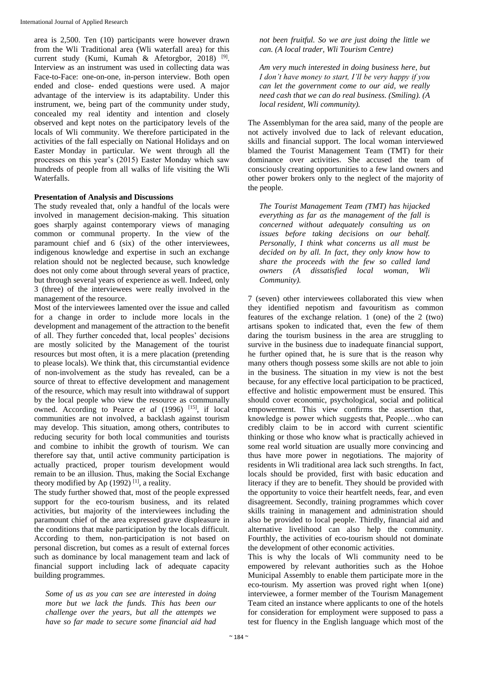area is 2,500. Ten (10) participants were however drawn from the Wli Traditional area (Wli waterfall area) for this current study (Kumi, Kumah & Afetorgbor, 2018)<sup>[9]</sup>. Interview as an instrument was used in collecting data was Face-to-Face: one-on-one, in-person interview. Both open ended and close- ended questions were used. A major advantage of the interview is its adaptability. Under this instrument, we, being part of the community under study, concealed my real identity and intention and closely observed and kept notes on the participatory levels of the locals of Wli community. We therefore participated in the activities of the fall especially on National Holidays and on Easter Monday in particular. We went through all the processes on this year's (2015) Easter Monday which saw hundreds of people from all walks of life visiting the Wli Waterfalls.

# **Presentation of Analysis and Discussions**

The study revealed that, only a handful of the locals were involved in management decision-making. This situation goes sharply against contemporary views of managing common or communal property. In the view of the paramount chief and 6 (six) of the other interviewees, indigenous knowledge and expertise in such an exchange relation should not be neglected because, such knowledge does not only come about through several years of practice, but through several years of experience as well. Indeed, only 3 (three) of the interviewees were really involved in the management of the resource.

Most of the interviewees lamented over the issue and called for a change in order to include more locals in the development and management of the attraction to the benefit of all. They further conceded that, local peoples' decisions are mostly solicited by the Management of the tourist resources but most often, it is a mere placation (pretending to please locals). We think that, this circumstantial evidence of non-involvement as the study has revealed, can be a source of threat to effective development and management of the resource, which may result into withdrawal of support by the local people who view the resource as communally owned. According to Pearce *et al* (1996)<sup>[15]</sup>, if local communities are not involved, a backlash against tourism may develop. This situation, among others, contributes to reducing security for both local communities and tourists and combine to inhibit the growth of tourism. We can therefore say that, until active community participation is actually practiced, proper tourism development would remain to be an illusion. Thus, making the Social Exchange theory modified by Ap  $(1992)$ <sup>[1]</sup>, a reality.

The study further showed that, most of the people expressed support for the eco-tourism business, and its related activities, but majority of the interviewees including the paramount chief of the area expressed grave displeasure in the conditions that make participation by the locals difficult. According to them, non-participation is not based on personal discretion, but comes as a result of external forces such as dominance by local management team and lack of financial support including lack of adequate capacity building programmes.

*Some of us as you can see are interested in doing more but we lack the funds. This has been our challenge over the years, but all the attempts we have so far made to secure some financial aid had* 

*not been fruitful. So we are just doing the little we can. (A local trader, Wli Tourism Centre)*

*Am very much interested in doing business here, but I don't have money to start, I'll be very happy if you can let the government come to our aid, we really need cash that we can do real business. (Smiling). (A local resident, Wli community).*

The Assemblyman for the area said, many of the people are not actively involved due to lack of relevant education, skills and financial support. The local woman interviewed blamed the Tourist Management Team (TMT) for their dominance over activities. She accused the team of consciously creating opportunities to a few land owners and other power brokers only to the neglect of the majority of the people.

*The Tourist Management Team (TMT) has hijacked everything as far as the management of the fall is concerned without adequately consulting us on issues before taking decisions on our behalf. Personally, I think what concerns us all must be decided on by all. In fact, they only know how to share the proceeds with the few so called land owners (A dissatisfied local woman, Wli Community).*

7 (seven) other interviewees collaborated this view when they identified nepotism and favouritism as common features of the exchange relation. 1 (one) of the 2 (two) artisans spoken to indicated that, even the few of them daring the tourism business in the area are struggling to survive in the business due to inadequate financial support, he further opined that, he is sure that is the reason why many others though possess some skills are not able to join in the business. The situation in my view is not the best because, for any effective local participation to be practiced, effective and holistic empowerment must be ensured. This should cover economic, psychological, social and political empowerment. This view confirms the assertion that, knowledge is power which suggests that, People…who can credibly claim to be in accord with current scientific thinking or those who know what is practically achieved in some real world situation are usually more convincing and thus have more power in negotiations. The majority of residents in Wli traditional area lack such strengths. In fact, locals should be provided, first with basic education and literacy if they are to benefit. They should be provided with the opportunity to voice their heartfelt needs, fear, and even disagreement. Secondly, training programmes which cover skills training in management and administration should also be provided to local people. Thirdly, financial aid and alternative livelihood can also help the community. Fourthly, the activities of eco-tourism should not dominate the development of other economic activities.

This is why the locals of Wli community need to be empowered by relevant authorities such as the Hohoe Municipal Assembly to enable them participate more in the eco-tourism. My assertion was proved right when 1(one) interviewee, a former member of the Tourism Management Team cited an instance where applicants to one of the hotels for consideration for employment were supposed to pass a test for fluency in the English language which most of the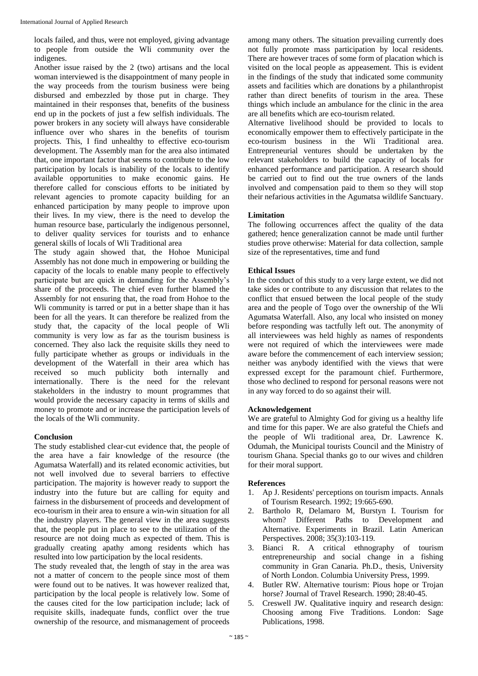locals failed, and thus, were not employed, giving advantage to people from outside the Wli community over the indigenes.

Another issue raised by the 2 (two) artisans and the local woman interviewed is the disappointment of many people in the way proceeds from the tourism business were being disbursed and embezzled by those put in charge. They maintained in their responses that, benefits of the business end up in the pockets of just a few selfish individuals. The power brokers in any society will always have considerable influence over who shares in the benefits of tourism projects. This, I find unhealthy to effective eco-tourism development. The Assembly man for the area also intimated that, one important factor that seems to contribute to the low participation by locals is inability of the locals to identify available opportunities to make economic gains. He therefore called for conscious efforts to be initiated by relevant agencies to promote capacity building for an enhanced participation by many people to improve upon their lives. In my view, there is the need to develop the human resource base, particularly the indigenous personnel, to deliver quality services for tourists and to enhance general skills of locals of Wli Traditional area

The study again showed that, the Hohoe Municipal Assembly has not done much in empowering or building the capacity of the locals to enable many people to effectively participate but are quick in demanding for the Assembly's share of the proceeds. The chief even further blamed the Assembly for not ensuring that, the road from Hohoe to the Wli community is tarred or put in a better shape than it has been for all the years. It can therefore be realized from the study that, the capacity of the local people of Wli community is very low as far as the tourism business is concerned. They also lack the requisite skills they need to fully participate whether as groups or individuals in the development of the Waterfall in their area which has received so much publicity both internally and internationally. There is the need for the relevant stakeholders in the industry to mount programmes that would provide the necessary capacity in terms of skills and money to promote and or increase the participation levels of the locals of the Wli community.

# **Conclusion**

The study established clear-cut evidence that, the people of the area have a fair knowledge of the resource (the Agumatsa Waterfall) and its related economic activities, but not well involved due to several barriers to effective participation. The majority is however ready to support the industry into the future but are calling for equity and fairness in the disbursement of proceeds and development of eco-tourism in their area to ensure a win-win situation for all the industry players. The general view in the area suggests that, the people put in place to see to the utilization of the resource are not doing much as expected of them. This is gradually creating apathy among residents which has resulted into low participation by the local residents.

The study revealed that, the length of stay in the area was not a matter of concern to the people since most of them were found out to be natives. It was however realized that, participation by the local people is relatively low. Some of the causes cited for the low participation include; lack of requisite skills, inadequate funds, conflict over the true ownership of the resource, and mismanagement of proceeds

among many others. The situation prevailing currently does not fully promote mass participation by local residents. There are however traces of some form of placation which is visited on the local people as appeasement. This is evident in the findings of the study that indicated some community assets and facilities which are donations by a philanthropist rather than direct benefits of tourism in the area. These things which include an ambulance for the clinic in the area are all benefits which are eco-tourism related.

Alternative livelihood should be provided to locals to economically empower them to effectively participate in the eco-tourism business in the Wli Traditional area. Entrepreneurial ventures should be undertaken by the relevant stakeholders to build the capacity of locals for enhanced performance and participation. A research should be carried out to find out the true owners of the lands involved and compensation paid to them so they will stop their nefarious activities in the Agumatsa wildlife Sanctuary.

# **Limitation**

The following occurrences affect the quality of the data gathered; hence generalization cannot be made until further studies prove otherwise: Material for data collection, sample size of the representatives, time and fund

# **Ethical Issues**

In the conduct of this study to a very large extent, we did not take sides or contribute to any discussion that relates to the conflict that ensued between the local people of the study area and the people of Togo over the ownership of the Wli Agumatsa Waterfall. Also, any local who insisted on money before responding was tactfully left out. The anonymity of all interviewees was held highly as names of respondents were not required of which the interviewees were made aware before the commencement of each interview session; neither was anybody identified with the views that were expressed except for the paramount chief. Furthermore, those who declined to respond for personal reasons were not in any way forced to do so against their will.

# **Acknowledgement**

We are grateful to Almighty God for giving us a healthy life and time for this paper. We are also grateful the Chiefs and the people of Wli traditional area, Dr. Lawrence K. Odumah, the Municipal tourists Council and the Ministry of tourism Ghana. Special thanks go to our wives and children for their moral support.

# **References**

- 1. Ap J. Residents' perceptions on tourism impacts. Annals of Tourism Research. 1992; 19:665-690.
- 2. Bartholo R, Delamaro M, Burstyn I. Tourism for whom? Different Paths to Development and Alternative. Experiments in Brazil. Latin American Perspectives. 2008; 35(3):103-119*.*
- 3. Bianci R. A critical ethnography of tourism entrepreneurship and social change in a fishing community in Gran Canaria. Ph.D., thesis, University of North London. Columbia University Press, 1999.
- 4. Butler RW. Alternative tourism: Pious hope or Trojan horse? Journal of Travel Research. 1990; 28:40-45.
- 5. Creswell JW. Qualitative inquiry and research design: Choosing among Five Traditions. London: Sage Publications, 1998.